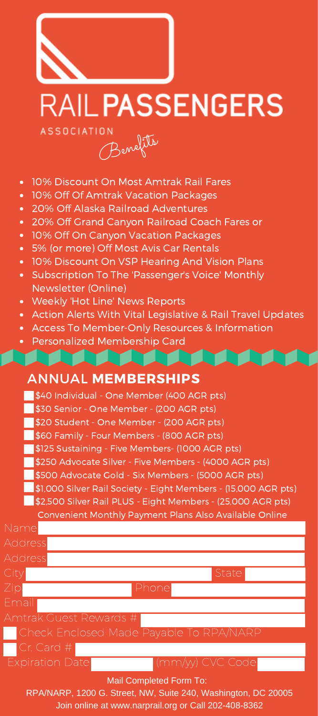

**RAIL PASSENGERS** 

10% Discount On Most Amtrak Rail Fares

- 10% Off Of Amtrak Vacation Packages
- 20% Off Alaska Railroad Adventures

ASSOCIATION<br>Benefits

- 20% Off Grand Canyon Railroad Coach Fares or
- 10% Off On Canyon Vacation Packages  $\bullet$
- 5% (or more) Off Most Avis Car Rentals  $\bullet$
- 10% Discount On VSP Hearing And Vision Plans
- Subscription To The 'Passenger's Voice' Monthly Newsletter (Online)
- Weekly 'Hot Line' News Reports
- Action Alerts With Vital Legislative & Rail Travel Updates
- Access To Member-Only Resources & Information
- Personalized Membership Card

| <b>ANNUAL MEMBERSHIPS</b> |  |
|---------------------------|--|
|                           |  |

| \$40 Individual - One Member (400 AGR pts)                     |
|----------------------------------------------------------------|
| \$30 Senior - One Member - (200 AGR pts)                       |
| \$20 Student - One Member - (200 AGR pts)                      |
| \$60 Family - Four Members - (800 AGR pts)                     |
| \$125 Sustaining - Five Members- (1000 AGR pts)                |
| \$250 Advocate Silver - Five Members - (4000 AGR pts)          |
| \$500 Advocate Gold - Six Members - (5000 AGR pts)             |
| \$1,000 Silver Rail Society - Eight Members - (15,000 AGR pts) |
| \$2,500 Silver Rail PLUS - Eight Members - (25,000 AGR pts)    |
| Convenient Monthly Payment Plans Also Available Online         |
| <u>Name</u>                                                    |
| Address                                                        |
| Address                                                        |
| City<br>State                                                  |
| Zip<br>Phone                                                   |
| Email                                                          |
| Amtrak Guest Rewards #                                         |
| Check Enclosed Made Payable To RPA/NARP                        |
| Cr. Card #                                                     |
| (mm/w) CVC Code<br><b>Expiration Date</b>                      |
| Mail Completed Form To:                                        |
| RPA/NARP, 1200 G. Street, NW, Suite 240, Washington, DC 20005  |

Join online at www.narprail.org or Call 202-408-8362